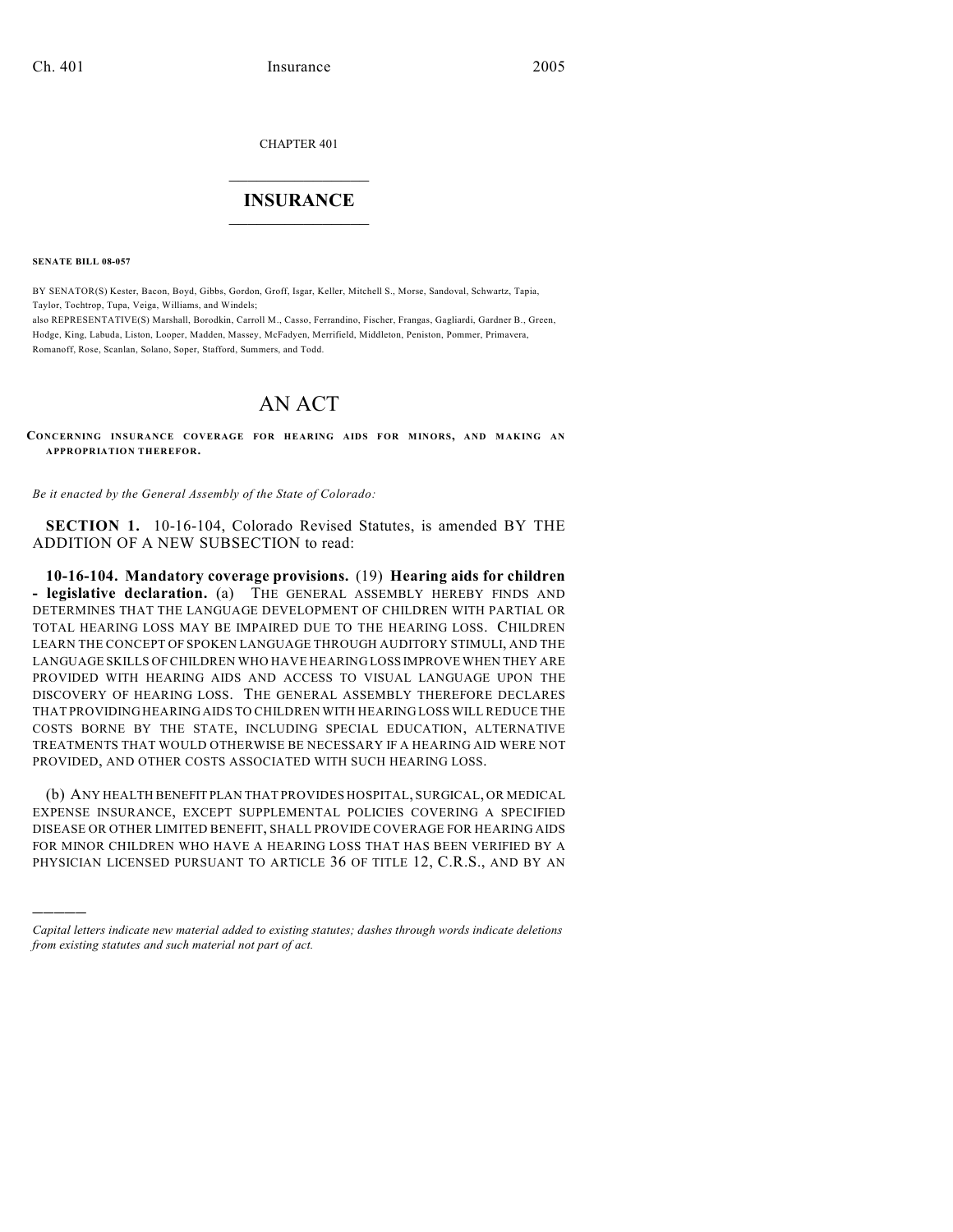CHAPTER 401

## $\mathcal{L}_\text{max}$  . The set of the set of the set of the set of the set of the set of the set of the set of the set of the set of the set of the set of the set of the set of the set of the set of the set of the set of the set **INSURANCE**  $\frac{1}{2}$  ,  $\frac{1}{2}$  ,  $\frac{1}{2}$  ,  $\frac{1}{2}$  ,  $\frac{1}{2}$  ,  $\frac{1}{2}$  ,  $\frac{1}{2}$

**SENATE BILL 08-057**

)))))

BY SENATOR(S) Kester, Bacon, Boyd, Gibbs, Gordon, Groff, Isgar, Keller, Mitchell S., Morse, Sandoval, Schwartz, Tapia, Taylor, Tochtrop, Tupa, Veiga, Williams, and Windels; also REPRESENTATIVE(S) Marshall, Borodkin, Carroll M., Casso, Ferrandino, Fischer, Frangas, Gagliardi, Gardner B., Green,

Hodge, King, Labuda, Liston, Looper, Madden, Massey, McFadyen, Merrifield, Middleton, Peniston, Pommer, Primavera, Romanoff, Rose, Scanlan, Solano, Soper, Stafford, Summers, and Todd.

## AN ACT

**CONCERNING INSURANCE COVERAGE FOR HEARING AIDS FOR MINORS, AND MAKING AN APPROPRIATION THEREFOR.**

*Be it enacted by the General Assembly of the State of Colorado:*

**SECTION 1.** 10-16-104, Colorado Revised Statutes, is amended BY THE ADDITION OF A NEW SUBSECTION to read:

**10-16-104. Mandatory coverage provisions.** (19) **Hearing aids for children - legislative declaration.** (a) THE GENERAL ASSEMBLY HEREBY FINDS AND DETERMINES THAT THE LANGUAGE DEVELOPMENT OF CHILDREN WITH PARTIAL OR TOTAL HEARING LOSS MAY BE IMPAIRED DUE TO THE HEARING LOSS. CHILDREN LEARN THE CONCEPT OF SPOKEN LANGUAGE THROUGH AUDITORY STIMULI, AND THE LANGUAGE SKILLS OF CHILDREN WHO HAVE HEARING LOSS IMPROVE WHEN THEY ARE PROVIDED WITH HEARING AIDS AND ACCESS TO VISUAL LANGUAGE UPON THE DISCOVERY OF HEARING LOSS. THE GENERAL ASSEMBLY THEREFORE DECLARES THAT PROVIDING HEARING AIDS TO CHILDREN WITH HEARING LOSS WILL REDUCE THE COSTS BORNE BY THE STATE, INCLUDING SPECIAL EDUCATION, ALTERNATIVE TREATMENTS THAT WOULD OTHERWISE BE NECESSARY IF A HEARING AID WERE NOT PROVIDED, AND OTHER COSTS ASSOCIATED WITH SUCH HEARING LOSS.

(b) ANY HEALTH BENEFIT PLAN THAT PROVIDES HOSPITAL, SURGICAL, OR MEDICAL EXPENSE INSURANCE, EXCEPT SUPPLEMENTAL POLICIES COVERING A SPECIFIED DISEASE OR OTHER LIMITED BENEFIT, SHALL PROVIDE COVERAGE FOR HEARING AIDS FOR MINOR CHILDREN WHO HAVE A HEARING LOSS THAT HAS BEEN VERIFIED BY A PHYSICIAN LICENSED PURSUANT TO ARTICLE 36 OF TITLE 12, C.R.S., AND BY AN

*Capital letters indicate new material added to existing statutes; dashes through words indicate deletions from existing statutes and such material not part of act.*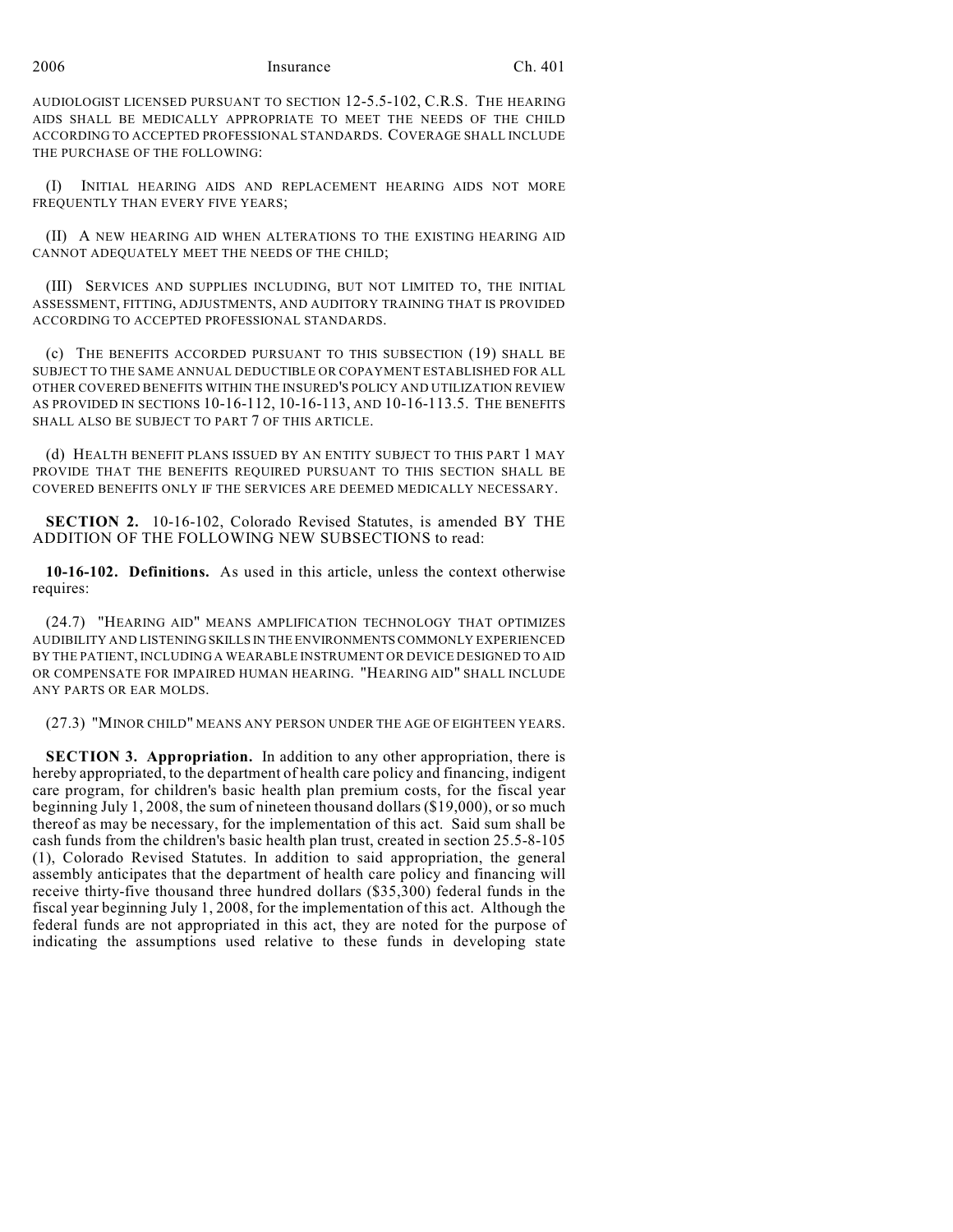AUDIOLOGIST LICENSED PURSUANT TO SECTION 12-5.5-102, C.R.S. THE HEARING AIDS SHALL BE MEDICALLY APPROPRIATE TO MEET THE NEEDS OF THE CHILD ACCORDING TO ACCEPTED PROFESSIONAL STANDARDS. COVERAGE SHALL INCLUDE THE PURCHASE OF THE FOLLOWING:

(I) INITIAL HEARING AIDS AND REPLACEMENT HEARING AIDS NOT MORE FREQUENTLY THAN EVERY FIVE YEARS;

(II) A NEW HEARING AID WHEN ALTERATIONS TO THE EXISTING HEARING AID CANNOT ADEQUATELY MEET THE NEEDS OF THE CHILD;

(III) SERVICES AND SUPPLIES INCLUDING, BUT NOT LIMITED TO, THE INITIAL ASSESSMENT, FITTING, ADJUSTMENTS, AND AUDITORY TRAINING THAT IS PROVIDED ACCORDING TO ACCEPTED PROFESSIONAL STANDARDS.

(c) THE BENEFITS ACCORDED PURSUANT TO THIS SUBSECTION (19) SHALL BE SUBJECT TO THE SAME ANNUAL DEDUCTIBLE OR COPAYMENT ESTABLISHED FOR ALL OTHER COVERED BENEFITS WITHIN THE INSURED'S POLICY AND UTILIZATION REVIEW AS PROVIDED IN SECTIONS 10-16-112, 10-16-113, AND 10-16-113.5. THE BENEFITS SHALL ALSO BE SUBJECT TO PART 7 OF THIS ARTICLE.

(d) HEALTH BENEFIT PLANS ISSUED BY AN ENTITY SUBJECT TO THIS PART 1 MAY PROVIDE THAT THE BENEFITS REQUIRED PURSUANT TO THIS SECTION SHALL BE COVERED BENEFITS ONLY IF THE SERVICES ARE DEEMED MEDICALLY NECESSARY.

**SECTION 2.** 10-16-102, Colorado Revised Statutes, is amended BY THE ADDITION OF THE FOLLOWING NEW SUBSECTIONS to read:

**10-16-102. Definitions.** As used in this article, unless the context otherwise requires:

(24.7) "HEARING AID" MEANS AMPLIFICATION TECHNOLOGY THAT OPTIMIZES AUDIBILITY AND LISTENING SKILLS IN THE ENVIRONMENTS COMMONLY EXPERIENCED BY THE PATIENT, INCLUDING A WEARABLE INSTRUMENT OR DEVICE DESIGNED TO AID OR COMPENSATE FOR IMPAIRED HUMAN HEARING. "HEARING AID" SHALL INCLUDE ANY PARTS OR EAR MOLDS.

(27.3) "MINOR CHILD" MEANS ANY PERSON UNDER THE AGE OF EIGHTEEN YEARS.

**SECTION 3. Appropriation.** In addition to any other appropriation, there is hereby appropriated, to the department of health care policy and financing, indigent care program, for children's basic health plan premium costs, for the fiscal year beginning July 1, 2008, the sum of nineteen thousand dollars (\$19,000), or so much thereof as may be necessary, for the implementation of this act. Said sum shall be cash funds from the children's basic health plan trust, created in section 25.5-8-105 (1), Colorado Revised Statutes. In addition to said appropriation, the general assembly anticipates that the department of health care policy and financing will receive thirty-five thousand three hundred dollars (\$35,300) federal funds in the fiscal year beginning July 1, 2008, for the implementation of this act. Although the federal funds are not appropriated in this act, they are noted for the purpose of indicating the assumptions used relative to these funds in developing state